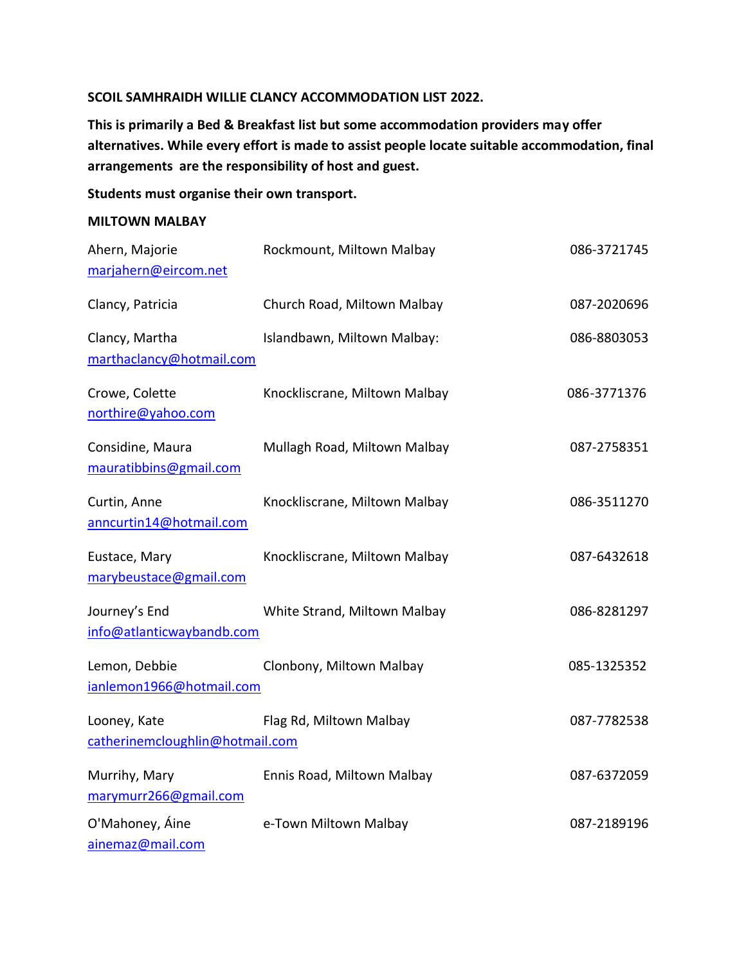## **SCOIL SAMHRAIDH WILLIE CLANCY ACCOMMODATION LIST 2022.**

**This is primarily a Bed & Breakfast list but some accommodation providers may offer alternatives. While every effort is made to assist people locate suitable accommodation, final arrangements are the responsibility of host and guest.**

## **Students must organise their own transport.**

## **MILTOWN MALBAY**

| Ahern, Majorie<br>marjahern@eircom.net          | Rockmount, Miltown Malbay     | 086-3721745 |
|-------------------------------------------------|-------------------------------|-------------|
| Clancy, Patricia                                | Church Road, Miltown Malbay   | 087-2020696 |
| Clancy, Martha<br>marthaclancy@hotmail.com      | Islandbawn, Miltown Malbay:   | 086-8803053 |
| Crowe, Colette<br>northire@yahoo.com            | Knockliscrane, Miltown Malbay | 086-3771376 |
| Considine, Maura<br>mauratibbins@gmail.com      | Mullagh Road, Miltown Malbay  | 087-2758351 |
| Curtin, Anne<br>anncurtin14@hotmail.com         | Knockliscrane, Miltown Malbay | 086-3511270 |
| Eustace, Mary<br>marybeustace@gmail.com         | Knockliscrane, Miltown Malbay | 087-6432618 |
| Journey's End<br>info@atlanticwaybandb.com      | White Strand, Miltown Malbay  | 086-8281297 |
| Lemon, Debbie<br>ianlemon1966@hotmail.com       | Clonbony, Miltown Malbay      | 085-1325352 |
| Looney, Kate<br>catherinemcloughlin@hotmail.com | Flag Rd, Miltown Malbay       | 087-7782538 |
| Murrihy, Mary<br>marymurr266@gmail.com          | Ennis Road, Miltown Malbay    | 087-6372059 |
| O'Mahoney, Áine<br>ainemaz@mail.com             | e-Town Miltown Malbay         | 087-2189196 |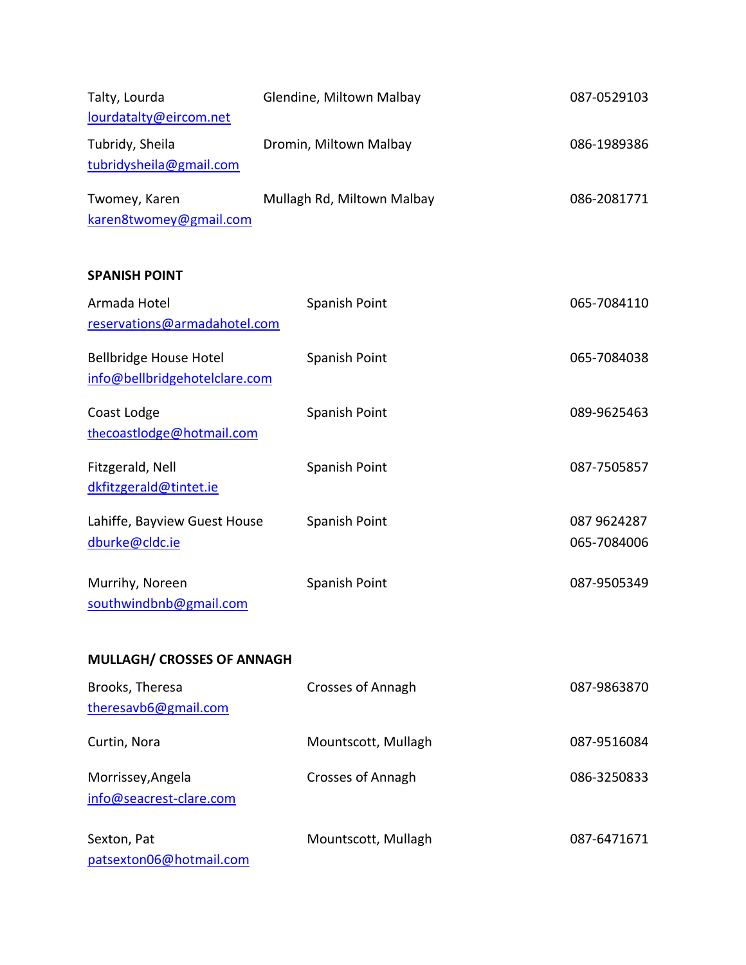| Talty, Lourda<br>lourdatalty@eircom.net                        | Glendine, Miltown Malbay   | 087-0529103                |
|----------------------------------------------------------------|----------------------------|----------------------------|
| Tubridy, Sheila<br>tubridysheila@gmail.com                     | Dromin, Miltown Malbay     | 086-1989386                |
| Twomey, Karen<br>karen8twomey@gmail.com                        | Mullagh Rd, Miltown Malbay | 086-2081771                |
| <b>SPANISH POINT</b>                                           |                            |                            |
| Armada Hotel<br>reservations@armadahotel.com                   | Spanish Point              | 065-7084110                |
| <b>Bellbridge House Hotel</b><br>info@bellbridgehotelclare.com | Spanish Point              | 065-7084038                |
| Coast Lodge<br>thecoastlodge@hotmail.com                       | Spanish Point              | 089-9625463                |
| Fitzgerald, Nell<br>dkfitzgerald@tintet.ie                     | Spanish Point              | 087-7505857                |
| Lahiffe, Bayview Guest House<br>dburke@cldc.ie                 | Spanish Point              | 087 9624287<br>065-7084006 |
| Murrihy, Noreen<br>southwindbnb@gmail.com                      | Spanish Point              | 087-9505349                |
| <b>MULLAGH/ CROSSES OF ANNAGH</b>                              |                            |                            |
| Brooks, Theresa<br>theresavb6@gmail.com                        | Crosses of Annagh          | 087-9863870                |
| Curtin, Nora                                                   | Mountscott, Mullagh        | 087-9516084                |
| Morrissey, Angela<br>info@seacrest-clare.com                   | <b>Crosses of Annagh</b>   | 086-3250833                |
| Sexton, Pat<br>patsexton06@hotmail.com                         | Mountscott, Mullagh        | 087-6471671                |